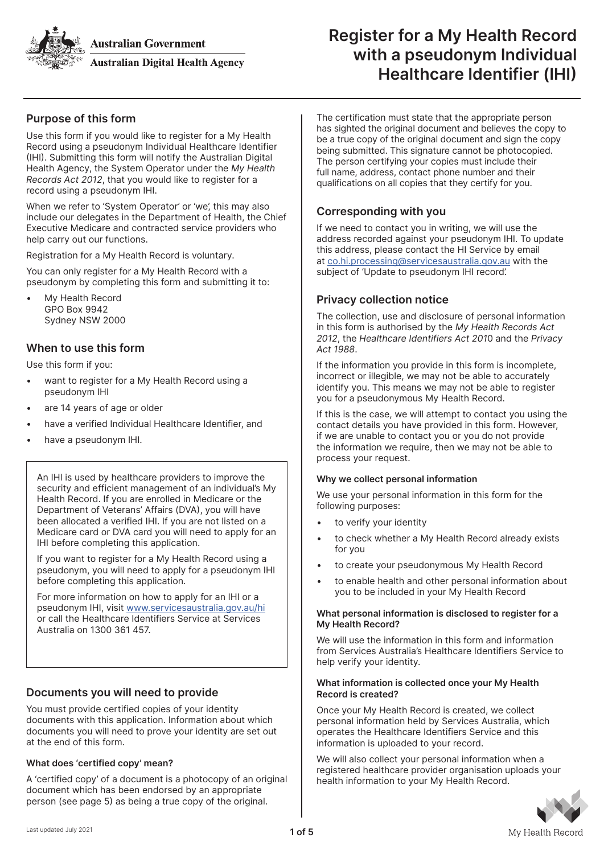**Australian Government** 



**Australian Digital Health Agency** 

# Register for a My Health Record with a pseudonym Individual Healthcare Identifier (IHI)

# Purpose of this form

Use this form if you would like to register for a My Health Record using a pseudonym Individual Healthcare Identifier (IHI). Submitting this form will notify the Australian Digital Health Agency, the System Operator under the My Health Records Act 2012, that you would like to register for a record using a pseudonym IHI.

When we refer to 'System Operator' or 'we', this may also include our delegates in the Department of Health, the Chief Executive Medicare and contracted service providers who help carry out our functions.

Registration for a My Health Record is voluntary.

You can only register for a My Health Record with a pseudonym by completing this form and submitting it to:

• My Health Record GPO Box 9942 Sydney NSW 2000

# When to use this form

Use this form if you:

- want to register for a My Health Record using a pseudonym IHI
- are 14 years of age or older
- have a verified Individual Healthcare Identifier, and
- have a pseudonym IHI.

An IHI is used by healthcare providers to improve the security and efficient management of an individual's My Health Record. If you are enrolled in Medicare or the Department of Veterans' Affairs (DVA), you will have been allocated a verified IHI. If you are not listed on a Medicare card or DVA card you will need to apply for an IHI before completing this application.

If you want to register for a My Health Record using a pseudonym, you will need to apply for a pseudonym IHI before completing this application.

For more information on how to apply for an IHI or a pseudonym IHI, visit www.servicesaustralia.gov.au/hi or call the Healthcare Identifiers Service at Services Australia on 1300 361 457.

# Documents you will need to provide

You must provide certified copies of your identity documents with this application. Information about which documents you will need to prove your identity are set out at the end of this form.

# What does 'certified copy' mean?

A 'certified copy' of a document is a photocopy of an original document which has been endorsed by an appropriate person (see page 5) as being a true copy of the original.

The certification must state that the appropriate person has sighted the original document and believes the copy to be a true copy of the original document and sign the copy being submitted. This signature cannot be photocopied. The person certifying your copies must include their full name, address, contact phone number and their qualifications on all copies that they certify for you.

# Corresponding with you

If we need to contact you in writing, we will use the address recorded against your pseudonym IHI. To update this address, please contact the HI Service by email at co.hi.processing@servicesaustralia.gov.au with the subject of 'Update to pseudonym IHI record'.

# Privacy collection notice

The collection, use and disclosure of personal information in this form is authorised by the My Health Records Act 2012, the Healthcare Identifiers Act 2010 and the Privacy Act 1988.

If the information you provide in this form is incomplete, incorrect or illegible, we may not be able to accurately identify you. This means we may not be able to register you for a pseudonymous My Health Record.

If this is the case, we will attempt to contact you using the contact details you have provided in this form. However, if we are unable to contact you or you do not provide the information we require, then we may not be able to process your request.

### Why we collect personal information

We use your personal information in this form for the following purposes:

- to verify your identity
- to check whether a My Health Record already exists for you
- to create your pseudonymous My Health Record
- to enable health and other personal information about you to be included in your My Health Record

### What personal information is disclosed to register for a My Health Record?

We will use the information in this form and information from Services Australia's Healthcare Identifiers Service to help verify your identity.

### What information is collected once your My Health Record is created?

Once your My Health Record is created, we collect personal information held by Services Australia, which operates the Healthcare Identifiers Service and this information is uploaded to your record.

We will also collect your personal information when a registered healthcare provider organisation uploads your health information to your My Health Record.

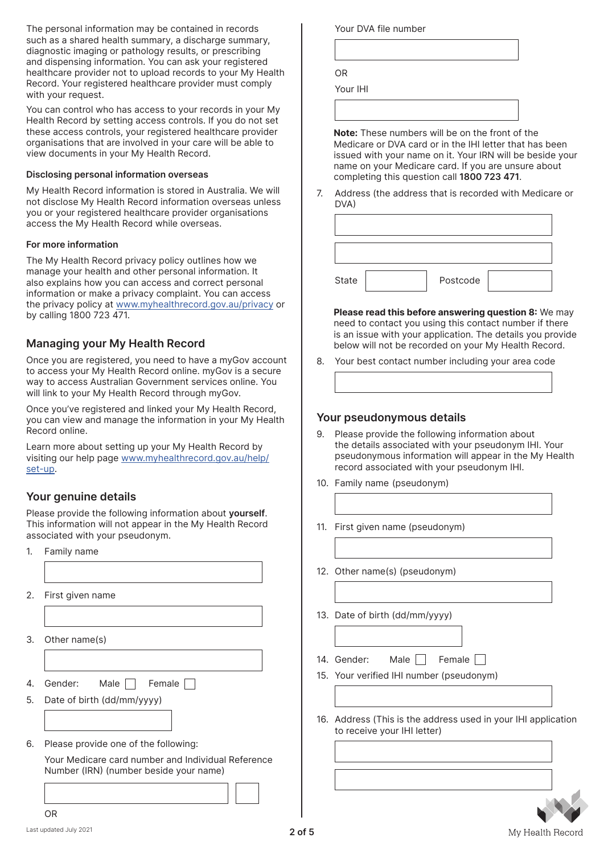The personal information may be contained in records such as a shared health summary, a discharge summary, diagnostic imaging or pathology results, or prescribing and dispensing information. You can ask your registered healthcare provider not to upload records to your My Health Record. Your registered healthcare provider must comply with your request.

You can control who has access to your records in your My Health Record by setting access controls. If you do not set these access controls, your registered healthcare provider organisations that are involved in your care will be able to view documents in your My Health Record.

#### Disclosing personal information overseas

My Health Record information is stored in Australia. We will not disclose My Health Record information overseas unless you or your registered healthcare provider organisations access the My Health Record while overseas.

#### For more information

The My Health Record privacy policy outlines how we manage your health and other personal information. It also explains how you can access and correct personal information or make a privacy complaint. You can access the privacy policy at www.myhealthrecord.gov.au/privacy or by calling 1800 723 471.

# Managing your My Health Record

Once you are registered, you need to have a myGov account to access your My Health Record online. myGov is a secure way to access Australian Government services online. You will link to your My Health Record through myGov.

Once you've registered and linked your My Health Record, you can view and manage the information in your My Health Record online.

Learn more about setting up your My Health Record by visiting our help page www.myhealthrecord.gov.au/help/ set-up.

# Your genuine details

Please provide the following information about yourself. This information will not appear in the My Health Record associated with your pseudonym.

- 1. Family name
- 2. First given name
- 3. Other name(s)
- 4. Gender: Male  $\Box$  Female  $\Box$
- 5. Date of birth (dd/mm/yyyy)
- 6. Please provide one of the following:

Your Medicare card number and Individual Reference Number (IRN) (number beside your name)

l.

Your DVA file number OR

Your IHI

Note: These numbers will be on the front of the Medicare or DVA card or in the IHI letter that has been issued with your name on it. Your IRN will be beside your name on your Medicare card. If you are unsure about completing this question call 1800 723 471.

7. Address (the address that is recorded with Medicare or DVA)

| State | Postcode |  |
|-------|----------|--|

Please read this before answering question 8: We may need to contact you using this contact number if there is an issue with your application. The details you provide below will not be recorded on your My Health Record.

8. Your best contact number including your area code

## Your pseudonymous details

- 9. Please provide the following information about the details associated with your pseudonym IHI. Your pseudonymous information will appear in the My Health record associated with your pseudonym IHI.
- 10. Family name (pseudonym)
- 11. First given name (pseudonym)
- 12. Other name(s) (pseudonym)
- 13. Date of birth (dd/mm/yyyy)

14. Gender: Male Female

- 15. Your verified IHI number (pseudonym)
- 16. Address (This is the address used in your IHI application to receive your IHI letter)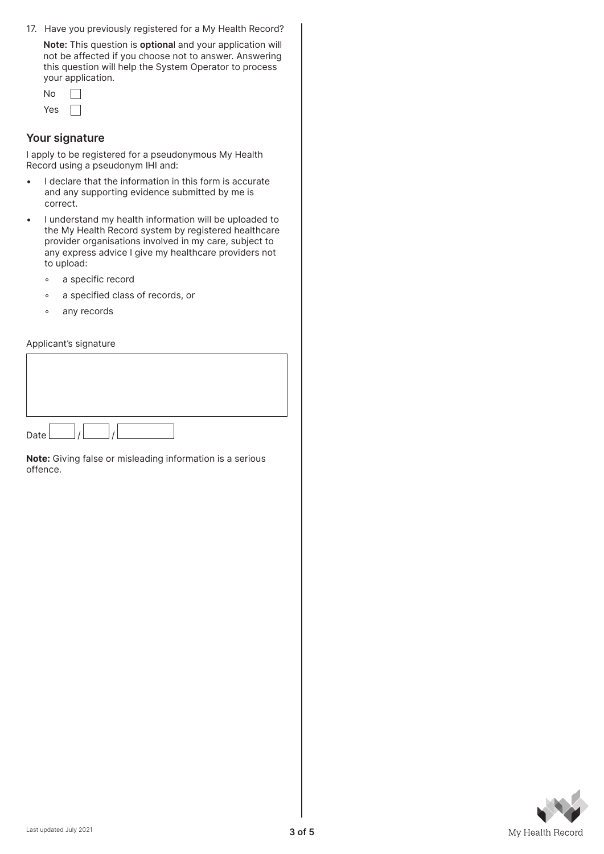17. Have you previously registered for a My Health Record?

Note: This question is optional and your application will not be affected if you choose not to answer. Answering this question will help the System Operator to process your application.

| Νņ  |  |
|-----|--|
| Yes |  |

### Your signature

I apply to be registered for a pseudonymous My Health Record using a pseudonym IHI and:

- I declare that the information in this form is accurate and any supporting evidence submitted by me is correct.
- I understand my health information will be uploaded to the My Health Record system by registered healthcare provider organisations involved in my care, subject to any express advice I give my healthcare providers not to upload:
	- a specific record
	- a specified class of records, or
	- any records

#### Applicant's signature



Note: Giving false or misleading information is a serious offence.

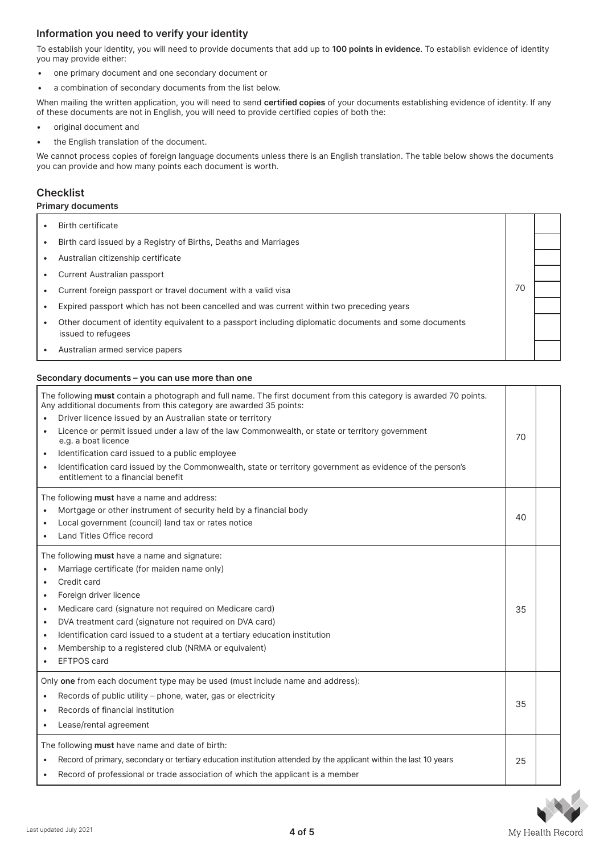# Information you need to verify your identity

To establish your identity, you will need to provide documents that add up to 100 points in evidence. To establish evidence of identity you may provide either:

- one primary document and one secondary document or
- a combination of secondary documents from the list below.

When mailing the written application, you will need to send certified copies of your documents establishing evidence of identity. If any of these documents are not in English, you will need to provide certified copies of both the:

- original document and
- the English translation of the document.

We cannot process copies of foreign language documents unless there is an English translation. The table below shows the documents you can provide and how many points each document is worth.

#### **Checklist**

#### Primary documents

**Birth certificate** 70 • Birth card issued by a Registry of Births, Deaths and Marriages • Australian citizenship certificate • Current Australian passport • Current foreign passport or travel document with a valid visa • Expired passport which has not been cancelled and was current within two preceding years • Other document of identity equivalent to a passport including diplomatic documents and some documents issued to refugees • Australian armed service papers

#### Secondary documents – you can use more than one

| The following must contain a photograph and full name. The first document from this category is awarded 70 points.<br>Any additional documents from this category are awarded 35 points:<br>Driver licence issued by an Australian state or territory<br>Licence or permit issued under a law of the law Commonwealth, or state or territory government<br>e.g. a boat licence<br>Identification card issued to a public employee<br>$\bullet$<br>Identification card issued by the Commonwealth, state or territory government as evidence of the person's<br>entitlement to a financial benefit | 70 |  |
|---------------------------------------------------------------------------------------------------------------------------------------------------------------------------------------------------------------------------------------------------------------------------------------------------------------------------------------------------------------------------------------------------------------------------------------------------------------------------------------------------------------------------------------------------------------------------------------------------|----|--|
| The following must have a name and address:<br>Mortgage or other instrument of security held by a financial body<br>Local government (council) land tax or rates notice<br>Land Titles Office record                                                                                                                                                                                                                                                                                                                                                                                              | 40 |  |
| The following must have a name and signature:<br>Marriage certificate (for maiden name only)<br>Credit card<br>Foreign driver licence<br>Medicare card (signature not required on Medicare card)<br>DVA treatment card (signature not required on DVA card)<br>Identification card issued to a student at a tertiary education institution<br>Membership to a registered club (NRMA or equivalent)<br><b>EFTPOS</b> card                                                                                                                                                                          | 35 |  |
| Only one from each document type may be used (must include name and address):<br>Records of public utility - phone, water, gas or electricity<br>Records of financial institution<br>Lease/rental agreement                                                                                                                                                                                                                                                                                                                                                                                       | 35 |  |
| The following must have name and date of birth:<br>Record of primary, secondary or tertiary education institution attended by the applicant within the last 10 years<br>Record of professional or trade association of which the applicant is a member                                                                                                                                                                                                                                                                                                                                            |    |  |